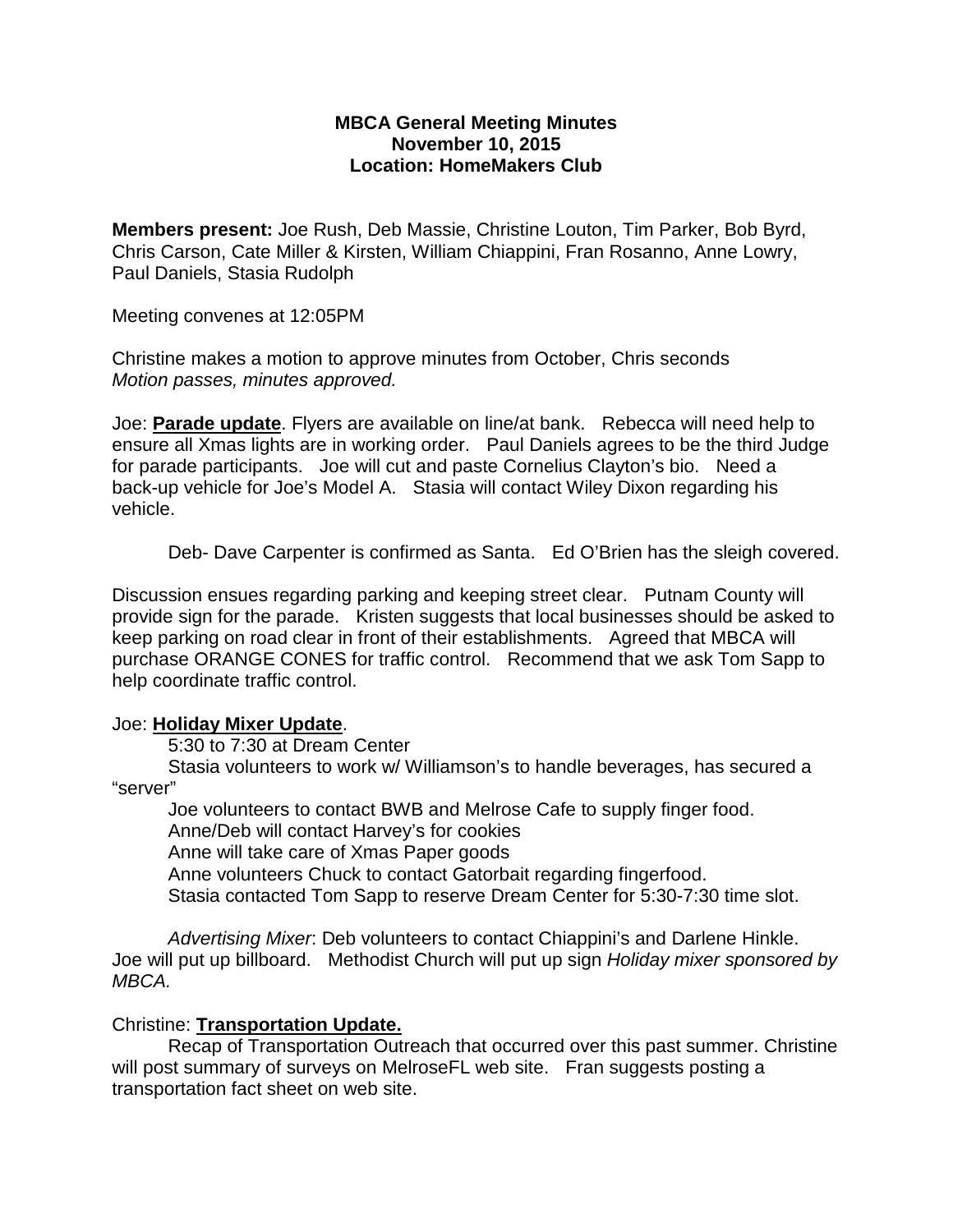## **MBCA General Meeting Minutes November 10, 2015 Location: HomeMakers Club**

**Members present:** Joe Rush, Deb Massie, Christine Louton, Tim Parker, Bob Byrd, Chris Carson, Cate Miller & Kirsten, William Chiappini, Fran Rosanno, Anne Lowry, Paul Daniels, Stasia Rudolph

Meeting convenes at 12:05PM

Christine makes a motion to approve minutes from October, Chris seconds *Motion passes, minutes approved.*

Joe: **Parade update**. Flyers are available on line/at bank. Rebecca will need help to ensure all Xmas lights are in working order. Paul Daniels agrees to be the third Judge for parade participants. Joe will cut and paste Cornelius Clayton's bio. Need a back-up vehicle for Joe's Model A. Stasia will contact Wiley Dixon regarding his vehicle.

Deb- Dave Carpenter is confirmed as Santa. Ed O'Brien has the sleigh covered.

Discussion ensues regarding parking and keeping street clear. Putnam County will provide sign for the parade. Kristen suggests that local businesses should be asked to keep parking on road clear in front of their establishments. Agreed that MBCA will purchase ORANGE CONES for traffic control. Recommend that we ask Tom Sapp to help coordinate traffic control.

## Joe: **Holiday Mixer Update**.

5:30 to 7:30 at Dream Center

Stasia volunteers to work w/ Williamson's to handle beverages, has secured a "server"

Joe volunteers to contact BWB and Melrose Cafe to supply finger food. Anne/Deb will contact Harvey's for cookies Anne will take care of Xmas Paper goods Anne volunteers Chuck to contact Gatorbait regarding fingerfood. Stasia contacted Tom Sapp to reserve Dream Center for 5:30-7:30 time slot.

*Advertising Mixer*: Deb volunteers to contact Chiappini's and Darlene Hinkle. Joe will put up billboard. Methodist Church will put up sign *Holiday mixer sponsored by MBCA.* 

## Christine: **Transportation Update.**

Recap of Transportation Outreach that occurred over this past summer. Christine will post summary of surveys on MelroseFL web site. Fran suggests posting a transportation fact sheet on web site.